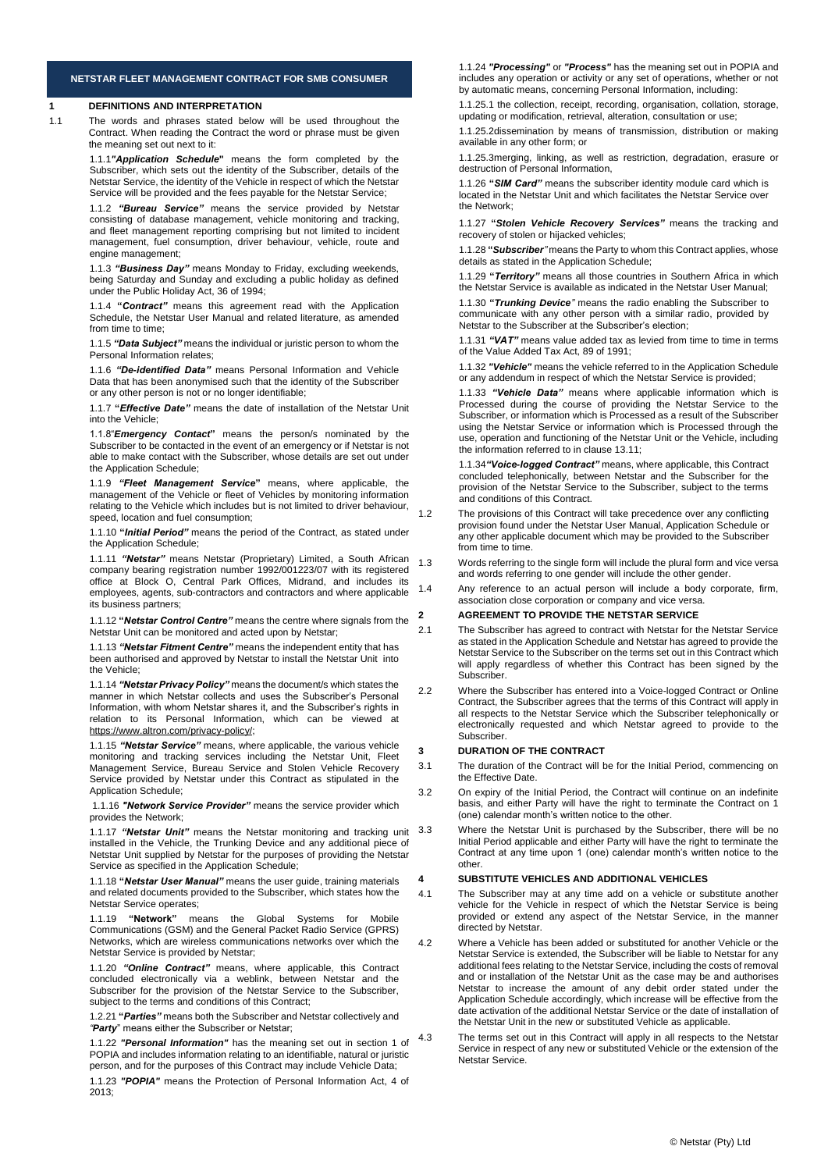### **NETSTAR FLEET MANAGEMENT CONTRACT FOR SMB CONSUMER**

### **1 DEFINITIONS AND INTERPRETATION**

1.1 The words and phrases stated below will be used throughout the Contract. When reading the Contract the word or phrase must be given the meaning set out next to it:

> 1.1.1*"Application Schedule***"** means the form completed by the Subscriber, which sets out the identity of the Subscriber, details of the Netstar Service, the identity of the Vehicle in respect of which the Netstar Service will be provided and the fees payable for the Netstar Service;

> 1.1.2 *"Bureau Service"* means the service provided by Netstar consisting of database management, vehicle monitoring and tracking, and fleet management reporting comprising but not limited to incident management, fuel consumption, driver behaviour, vehicle, route and engine management;

> 1.1.3 *"Business Day"* means Monday to Friday, excluding weekends, being Saturday and Sunday and excluding a public holiday as defined under the Public Holiday Act, 36 of 1994;

> 1.1.4 **"***Contract"* means this agreement read with the Application Schedule, the Netstar User Manual and related literature, as amended from time to time;

> 1.1.5 *"Data Subject"* means the individual or juristic person to whom the Personal Information relates;

> 1.1.6 *"De-identified Data"* means Personal Information and Vehicle Data that has been anonymised such that the identity of the Subscriber or any other person is not or no longer identifiable;

1.1.7 **"***Effective Date"* means the date of installation of the Netstar Unit into the Vehicle;

1.1.8"*Emergency Contact***"** means the person/s nominated by the Subscriber to be contacted in the event of an emergency or if Netstar is not able to make contact with the Subscriber, whose details are set out under the Application Schedule;

1.1.9 *"Fleet Management Service***"** means, where applicable, the management of the Vehicle or fleet of Vehicles by monitoring information relating to the Vehicle which includes but is not limited to driver behaviour, speed, location and fuel consumption;

1.1.10 **"***Initial Period"* means the period of the Contract, as stated under the Application Schedule;

1.1.11 *"Netstar"* means Netstar (Proprietary) Limited, a South African company bearing registration number 1992/001223/07 with its registered office at Block O, Central Park Offices, Midrand, and includes its employees, agents, sub-contractors and contractors and where applicable its business partners;

1.1.12 **"***Netstar Control Centre"* means the centre where signals from the Netstar Unit can be monitored and acted upon by Netstar;

1.1.13 *"Netstar Fitment Centre"* means the independent entity that has been authorised and approved by Netstar to install the Netstar Unit into the Vehicle;

1.1.14 *"Netstar Privacy Policy"* means the document/s which states the manner in which Netstar collects and uses the Subscriber's Personal Information, with whom Netstar shares it, and the Subscriber's rights in relation to its Personal Information, which can be viewed at [https://www.altron.com/privacy-policy/;](https://www.altron.com/privacy-policy/)

1.1.15 *"Netstar Service"* means, where applicable, the various vehicle monitoring and tracking services including the Netstar Unit, Fleet Management Service, Bureau Service and Stolen Vehicle Recovery Service provided by Netstar under this Contract as stipulated in the Application Schedule;

1.1.16 *"Network Service Provider"* means the service provider which provides the Network;

1.1.17 *"Netstar Unit"* means the Netstar monitoring and tracking unit installed in the Vehicle, the Trunking Device and any additional piece of Netstar Unit supplied by Netstar for the purposes of providing the Netstar Service as specified in the Application Schedule;

1.1.18 **"***Netstar User Manual"* means the user guide, training materials and related documents provided to the Subscriber, which states how the Netstar Service operates;

1.1.19 **"Network"** means the Global Systems for Mobile Communications (GSM) and the General Packet Radio Service (GPRS) Networks, which are wireless communications networks over which the Netstar Service is provided by Netstar;

1.1.20 *"Online Contract"* means, where applicable, this Contract concluded electronically via a weblink, between Netstar and the Subscriber for the provision of the Netstar Service to the Subscriber, subject to the terms and conditions of this Contract;

1.2.21 **"***Parties"* means both the Subscriber and Netstar collectively and *"Party*" means either the Subscriber or Netstar;

1.1.22 *"Personal Information"* has the meaning set out in section 1 of POPIA and includes information relating to an identifiable, natural or juristic person, and for the purposes of this Contract may include Vehicle Data;

1.1.23 *"POPIA"* means the Protection of Personal Information Act, 4 of 2013;

1.1.24 *"Processing"* or *"Process"* has the meaning set out in POPIA and includes any operation or activity or any set of operations, whether or not by automatic means, concerning Personal Information, including:

1.1.25.1 the collection, receipt, recording, organisation, collation, storage, updating or modification, retrieval, alteration, consultation or use;

1.1.25.2dissemination by means of transmission, distribution or making available in any other form; or

1.1.25.3merging, linking, as well as restriction, degradation, erasure or destruction of Personal Information,

1.1.26 **"***SIM Card"* means the subscriber identity module card which is located in the Netstar Unit and which facilitates the Netstar Service over the Network;

1.1.27 **"***Stolen Vehicle Recovery Services"* means the tracking and recovery of stolen or hijacked vehicles;

1.1.28 **"***Subscriber"* means the Party to whom this Contract applies, whose details as stated in the Application Schedule;

1.1.29 **"***Territory"* means all those countries in Southern Africa in which the Netstar Service is available as indicated in the Netstar User Manual;

1.1.30 **"***Trunking Device"* means the radio enabling the Subscriber to communicate with any other person with a similar radio, provided by Netstar to the Subscriber at the Subscriber's election;

1.1.31 *"VAT"* means value added tax as levied from time to time in terms of the Value Added Tax Act, 89 of 1991;

1.1.32 *"Vehicle"* means the vehicle referred to in the Application Schedule or any addendum in respect of which the Netstar Service is provided;

1.1.33 *"Vehicle Data"* means where applicable information which is Processed during the course of providing the Netstar Service to the Subscriber, or information which is Processed as a result of the Subscriber using the Netstar Service or information which is Processed through the use, operation and functioning of the Netstar Unit or the Vehicle, including the information referred to in clause 13.11;

1.1.34*"Voice-logged Contract"* means, where applicable, this Contract concluded telephonically, between Netstar and the Subscriber for the provision of the Netstar Service to the Subscriber, subject to the terms and conditions of this Contract.

- 1.2 The provisions of this Contract will take precedence over any conflicting provision found under the Netstar User Manual, Application Schedule or any other applicable document which may be provided to the Subscriber from time to time.
- 1.3 Words referring to the single form will include the plural form and vice versa and words referring to one gender will include the other gender.
- 1.4 Any reference to an actual person will include a body corporate, firm, association close corporation or company and vice versa.

### **2 AGREEMENT TO PROVIDE THE NETSTAR SERVICE**

- 2.1 The Subscriber has agreed to contract with Netstar for the Netstar Service as stated in the Application Schedule and Netstar has agreed to provide the Netstar Service to the Subscriber on the terms set out in this Contract which will apply regardless of whether this Contract has been signed by the Subscriber.
- 2.2 Where the Subscriber has entered into a Voice-logged Contract or Online Contract, the Subscriber agrees that the terms of this Contract will apply in all respects to the Netstar Service which the Subscriber telephonically electronically requested and which Netstar agreed to provide to the Subscriber.

### **3 DURATION OF THE CONTRACT**

- 3.1 The duration of the Contract will be for the Initial Period, commencing on the Effective Date.
- 3.2 On expiry of the Initial Period, the Contract will continue on an indefinite basis, and either Party will have the right to terminate the Contract on 1 (one) calendar month's written notice to the other.
	- Where the Netstar Unit is purchased by the Subscriber, there will be no Initial Period applicable and either Party will have the right to terminate the Contract at any time upon 1 (one) calendar month's written notice to the other.

#### **4 SUBSTITUTE VEHICLES AND ADDITIONAL VEHICLES**

- 4.1 The Subscriber may at any time add on a vehicle or substitute another vehicle for the Vehicle in respect of which the Netstar Service is being provided or extend any aspect of the Netstar Service, in the manner directed by Netstar.
- 4.2 Where a Vehicle has been added or substituted for another Vehicle or the Netstar Service is extended, the Subscriber will be liable to Netstar for any additional fees relating to the Netstar Service, including the costs of removal and or installation of the Netstar Unit as the case may be and authorises Netstar to increase the amount of any debit order stated under the Application Schedule accordingly, which increase will be effective from the date activation of the additional Netstar Service or the date of installation of the Netstar Unit in the new or substituted Vehicle as applicable.
	- The terms set out in this Contract will apply in all respects to the Netstar Service in respect of any new or substituted Vehicle or the extension of the Netstar Service.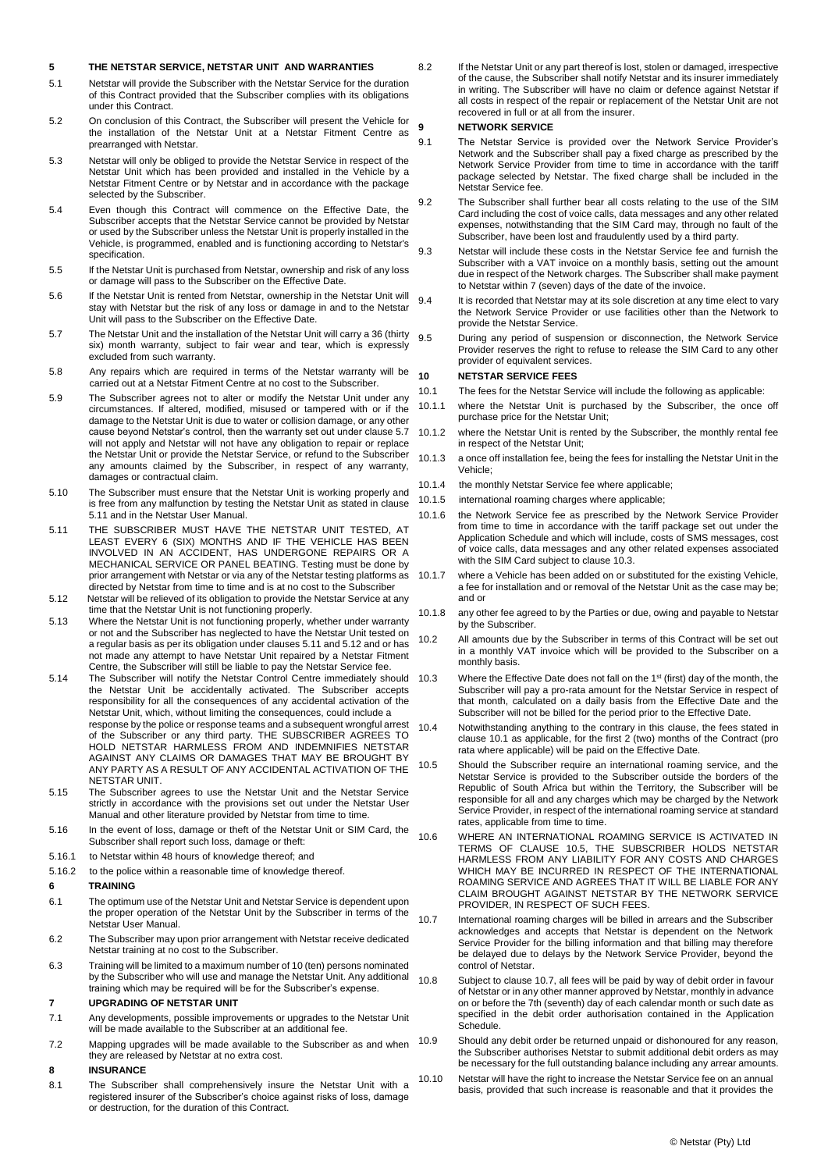## **5 THE NETSTAR SERVICE, NETSTAR UNIT AND WARRANTIES**

- 5.1 Netstar will provide the Subscriber with the Netstar Service for the duration of this Contract provided that the Subscriber complies with its obligations under this Contract.
- 5.2 On conclusion of this Contract, the Subscriber will present the Vehicle for the installation of the Netstar Unit at a Netstar Fitment Centre as prearranged with Netstar.
- 5.3 Netstar will only be obliged to provide the Netstar Service in respect of the Netstar Unit which has been provided and installed in the Vehicle by a Netstar Fitment Centre or by Netstar and in accordance with the package selected by the Subscriber.
- 5.4 Even though this Contract will commence on the Effective Date, the Subscriber accepts that the Netstar Service cannot be provided by Netstar or used by the Subscriber unless the Netstar Unit is properly installed in the Vehicle, is programmed, enabled and is functioning according to Netstar's specification.
- 5.5 If the Netstar Unit is purchased from Netstar, ownership and risk of any loss or damage will pass to the Subscriber on the Effective Date.
- 5.6 If the Netstar Unit is rented from Netstar, ownership in the Netstar Unit will stay with Netstar but the risk of any loss or damage in and to the Netstar Unit will pass to the Subscriber on the Effective Date.
- 5.7 The Netstar Unit and the installation of the Netstar Unit will carry a 36 (thirty six) month warranty, subject to fair wear and tear, which is expressly excluded from such warranty.
- 5.8 Any repairs which are required in terms of the Netstar warranty will be carried out at a Netstar Fitment Centre at no cost to the Subscriber.
- 5.9 The Subscriber agrees not to alter or modify the Netstar Unit under any circumstances. If altered, modified, misused or tampered with or if the damage to the Netstar Unit is due to water or collision damage, or any other cause beyond Netstar's control, then the warranty set out under clause 5.7 will not apply and Netstar will not have any obligation to repair or replace the Netstar Unit or provide the Netstar Service, or refund to the Subscriber any amounts claimed by the Subscriber, in respect of any warranty, damages or contractual claim.
- 5.10 The Subscriber must ensure that the Netstar Unit is working properly and is free from any malfunction by testing the Netstar Unit as stated in clause 5.11 and in the Netstar User Manual.
- 5.11 THE SUBSCRIBER MUST HAVE THE NETSTAR UNIT TESTED, AT LEAST EVERY 6 (SIX) MONTHS AND IF THE VEHICLE HAS BEEN INVOLVED IN AN ACCIDENT, HAS UNDERGONE REPAIRS OR A MECHANICAL SERVICE OR PANEL BEATING. Testing must be done by prior arrangement with Netstar or via any of the Netstar testing platforms as directed by Netstar from time to time and is at no cost to the Subscriber
- 5.12 Netstar will be relieved of its obligation to provide the Netstar Service at any time that the Netstar Unit is not functioning properly.
- 5.13 Where the Netstar Unit is not functioning properly, whether under warranty or not and the Subscriber has neglected to have the Netstar Unit tested on a regular basis as per its obligation under clauses 5.11 and 5.12 and or has not made any attempt to have Netstar Unit repaired by a Netstar Fitment Centre, the Subscriber will still be liable to pay the Netstar Service fee.
- 5.14 The Subscriber will notify the Netstar Control Centre immediately should 10.3 the Netstar Unit be accidentally activated. The Subscriber accepts responsibility for all the consequences of any accidental activation of the Netstar Unit, which, without limiting the consequences, could include a response by the police or response teams and a subsequent wrongful arrest of the Subscriber or any third party. THE SUBSCRIBER AGREES TO HOLD NETSTAR HARMLESS FROM AND INDEMNIFIES NETSTAR AGAINST ANY CLAIMS OR DAMAGES THAT MAY BE BROUGHT BY ANY PARTY AS A RESULT OF ANY ACCIDENTAL ACTIVATION OF THE NETSTAR UNIT.
- 5.15 The Subscriber agrees to use the Netstar Unit and the Netstar Service strictly in accordance with the provisions set out under the Netstar User Manual and other literature provided by Netstar from time to time.
- 5.16 In the event of loss, damage or theft of the Netstar Unit or SIM Card, the Subscriber shall report such loss, damage or theft:
- 5.16.1 to Netstar within 48 hours of knowledge thereof; and
- 5.16.2 to the police within a reasonable time of knowledge thereof.

#### **6 TRAINING**

- 6.1 The optimum use of the Netstar Unit and Netstar Service is dependent upon the proper operation of the Netstar Unit by the Subscriber in terms of the Netstar User Manual.
- 6.2 The Subscriber may upon prior arrangement with Netstar receive dedicated Netstar training at no cost to the Subscriber.
- 6.3 Training will be limited to a maximum number of 10 (ten) persons nominated by the Subscriber who will use and manage the Netstar Unit. Any additional training which may be required will be for the Subscriber's expense.

#### **7 UPGRADING OF NETSTAR UNIT**

- 7.1 Any developments, possible improvements or upgrades to the Netstar Unit will be made available to the Subscriber at an additional fee.
- 7.2 Mapping upgrades will be made available to the Subscriber as and when 10.9 they are released by Netstar at no extra cost.

### **8 INSURANCE**

8.1 The Subscriber shall comprehensively insure the Netstar Unit with a registered insurer of the Subscriber's choice against risks of loss, damage or destruction, for the duration of this Contract.

8.2 If the Netstar Unit or any part thereof is lost, stolen or damaged, irrespective of the cause, the Subscriber shall notify Netstar and its insurer immediately in writing. The Subscriber will have no claim or defence against Netstar if all costs in respect of the repair or replacement of the Netstar Unit are not recovered in full or at all from the insurer.

### **9 NETWORK SERVICE**

- 9.1 The Netstar Service is provided over the Network Service Provider's Network and the Subscriber shall pay a fixed charge as prescribed by the Network Service Provider from time to time in accordance with the tariff package selected by Netstar. The fixed charge shall be included in the Netstar Service fee.
- 9.2 The Subscriber shall further bear all costs relating to the use of the SIM Card including the cost of voice calls, data messages and any other related expenses, notwithstanding that the SIM Card may, through no fault of the Subscriber, have been lost and fraudulently used by a third party.
- 9.3 Netstar will include these costs in the Netstar Service fee and furnish the Subscriber with a VAT invoice on a monthly basis, setting out the amount due in respect of the Network charges. The Subscriber shall make payment to Netstar within 7 (seven) days of the date of the invoice.
- 9.4 It is recorded that Netstar may at its sole discretion at any time elect to vary the Network Service Provider or use facilities other than the Network to provide the Netstar Service.
- 9.5 During any period of suspension or disconnection, the Network Service Provider reserves the right to refuse to release the SIM Card to any other provider of equivalent services.

## **10 NETSTAR SERVICE FEES**

- 10.1 The fees for the Netstar Service will include the following as applicable:
- 10.1.1 where the Netstar Unit is purchased by the Subscriber, the once off purchase price for the Netstar Unit;
- 10.1.2 where the Netstar Unit is rented by the Subscriber, the monthly rental fee in respect of the Netstar Unit;
- 10.1.3 a once off installation fee, being the fees for installing the Netstar Unit in the Vehicle;
- 10.1.4 the monthly Netstar Service fee where applicable:
- 10.1.5 international roaming charges where applicable;
- 10.1.6 the Network Service fee as prescribed by the Network Service Provider from time to time in accordance with the tariff package set out under the Application Schedule and which will include, costs of SMS messages, cost of voice calls, data messages and any other related expenses associated with the SIM Card subject to clause 10.3.
- 10.1.7 where a Vehicle has been added on or substituted for the existing Vehicle, a fee for installation and or removal of the Netstar Unit as the case may be; and or
- 10.1.8 any other fee agreed to by the Parties or due, owing and payable to Netstar by the Subscriber.
- 10.2 All amounts due by the Subscriber in terms of this Contract will be set out in a monthly VAT invoice which will be provided to the Subscriber on a monthly basis.
- Where the Effective Date does not fall on the 1<sup>st</sup> (first) day of the month, the Subscriber will pay a pro-rata amount for the Netstar Service in respect of that month, calculated on a daily basis from the Effective Date and the Subscriber will not be billed for the period prior to the Effective Date.
- 10.4 Notwithstanding anything to the contrary in this clause, the fees stated in clause 10.1 as applicable, for the first 2 (two) months of the Contract (pro rata where applicable) will be paid on the Effective Date.
- 10.5 Should the Subscriber require an international roaming service, and the Netstar Service is provided to the Subscriber outside the borders of the Republic of South Africa but within the Territory, the Subscriber will be responsible for all and any charges which may be charged by the Network Service Provider, in respect of the international roaming service at standard rates, applicable from time to time.
- 10.6 WHERE AN INTERNATIONAL ROAMING SERVICE IS ACTIVATED IN TERMS OF CLAUSE 10.5, THE SUBSCRIBER HOLDS NETSTAR HARMLESS FROM ANY LIABILITY FOR ANY COSTS AND CHARGES WHICH MAY BE INCURRED IN RESPECT OF THE INTERNATIONAL ROAMING SERVICE AND AGREES THAT IT WILL BE LIABLE FOR ANY CLAIM BROUGHT AGAINST NETSTAR BY THE NETWORK SERVICE PROVIDER, IN RESPECT OF SUCH FEES.
- 10.7 International roaming charges will be billed in arrears and the Subscriber acknowledges and accepts that Netstar is dependent on the Network Service Provider for the billing information and that billing may therefore be delayed due to delays by the Network Service Provider, beyond the control of Netstar.
- 10.8 Subject to clause 10.7, all fees will be paid by way of debit order in favour of Netstar or in any other manner approved by Netstar, monthly in advance on or before the 7th (seventh) day of each calendar month or such date as specified in the debit order authorisation contained in the Application Schedule.

Should any debit order be returned unpaid or dishonoured for any reason, the Subscriber authorises Netstar to submit additional debit orders as may be necessary for the full outstanding balance including any arrear amounts.

10.10 Netstar will have the right to increase the Netstar Service fee on an annual basis, provided that such increase is reasonable and that it provides the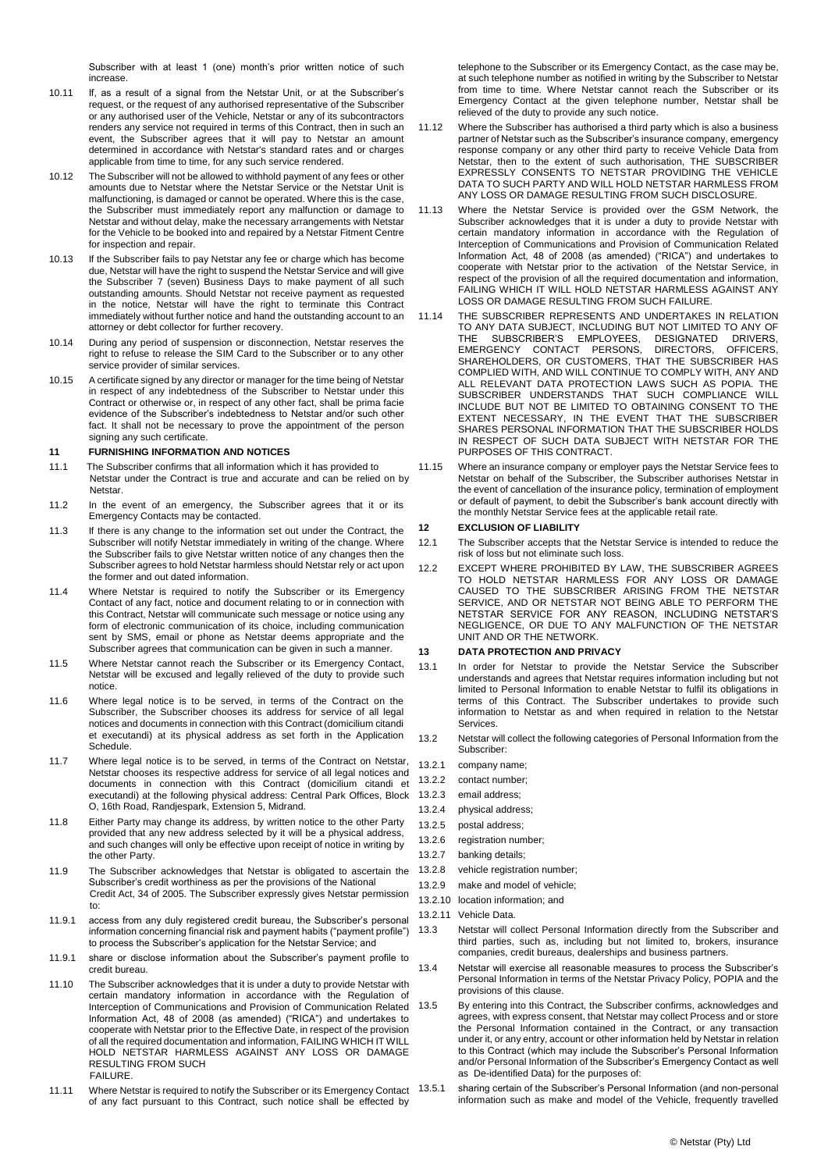Subscriber with at least 1 (one) month's prior written notice of such increase.

- 10.11 If, as a result of a signal from the Netstar Unit, or at the Subscriber's request, or the request of any authorised representative of the Subscriber or any authorised user of the Vehicle, Netstar or any of its subcontractors renders any service not required in terms of this Contract, then in such an event, the Subscriber agrees that it will pay to Netstar an amount determined in accordance with Netstar's standard rates and or charges applicable from time to time, for any such service rendered.
- 10.12 The Subscriber will not be allowed to withhold payment of any fees or other amounts due to Netstar where the Netstar Service or the Netstar Unit is malfunctioning, is damaged or cannot be operated. Where this is the case, the Subscriber must immediately report any malfunction or damage to Netstar and without delay, make the necessary arrangements with Netstar for the Vehicle to be booked into and repaired by a Netstar Fitment Centre for inspection and repair.
- 10.13 If the Subscriber fails to pay Netstar any fee or charge which has become due, Netstar will have the right to suspend the Netstar Service and will give the Subscriber 7 (seven) Business Days to make payment of all such outstanding amounts. Should Netstar not receive payment as requested in the notice, Netstar will have the right to terminate this Contract immediately without further notice and hand the outstanding account to an attorney or debt collector for further recovery.
- 10.14 During any period of suspension or disconnection, Netstar reserves the right to refuse to release the SIM Card to the Subscriber or to any other service provider of similar services.
- 10.15 A certificate signed by any director or manager for the time being of Netstar in respect of any indebtedness of the Subscriber to Netstar under this Contract or otherwise or, in respect of any other fact, shall be prima facie evidence of the Subscriber's indebtedness to Netstar and/or such other fact. It shall not be necessary to prove the appointment of the person signing any such certificate.

### **11 FURNISHING INFORMATION AND NOTICES**

- 11.1 The Subscriber confirms that all information which it has provided to Netstar under the Contract is true and accurate and can be relied on by **Netstar**
- 11.2 In the event of an emergency, the Subscriber agrees that it or its Emergency Contacts may be contacted.
- 11.3 If there is any change to the information set out under the Contract, the Subscriber will notify Netstar immediately in writing of the change. Where the Subscriber fails to give Netstar written notice of any changes then the Subscriber agrees to hold Netstar harmless should Netstar rely or act upon the former and out dated information.
- 11.4 Where Netstar is required to notify the Subscriber or its Emergency Contact of any fact, notice and document relating to or in connection with this Contract, Netstar will communicate such message or notice using any form of electronic communication of its choice, including communication sent by SMS, email or phone as Netstar deems appropriate and the Subscriber agrees that communication can be given in such a manner.
- 11.5 Where Netstar cannot reach the Subscriber or its Emergency Contact, Netstar will be excused and legally relieved of the duty to provide such notice.
- 11.6 Where legal notice is to be served, in terms of the Contract on the Subscriber, the Subscriber chooses its address for service of all legal notices and documents in connection with this Contract (domicilium citandi et executandi) at its physical address as set forth in the Application Schedule.
- 11.7 Where legal notice is to be served, in terms of the Contract on Netstar, Netstar chooses its respective address for service of all legal notices and documents in connection with this Contract (domicilium citandi et executandi) at the following physical address: Central Park Offices, Block O, 16th Road, Randjespark, Extension 5, Midrand.
- 11.8 Either Party may change its address, by written notice to the other Party provided that any new address selected by it will be a physical address, and such changes will only be effective upon receipt of notice in writing by the other Party.
- 11.9 The Subscriber acknowledges that Netstar is obligated to ascertain the Subscriber's credit worthiness as per the provisions of the National Credit Act, 34 of 2005. The Subscriber expressly gives Netstar permission to:
- 11.9.1 access from any duly registered credit bureau, the Subscriber's personal information concerning financial risk and payment habits ("payment profile") to process the Subscriber's application for the Netstar Service; and
- 11.9.1 share or disclose information about the Subscriber's payment profile to credit bureau.
- 11.10 The Subscriber acknowledges that it is under a duty to provide Netstar with certain mandatory information in accordance with the Regulation of Interception of Communications and Provision of Communication Related Information Act, 48 of 2008 (as amended) ("RICA") and undertakes to cooperate with Netstar prior to the Effective Date, in respect of the provision of all the required documentation and information, FAILING WHICH IT WILL HOLD NETSTAR HARMLESS AGAINST ANY LOSS OR DAMAGE RESULTING FROM SUCH FAILURE.
- 11.11 Where Netstar is required to notify the Subscriber or its Emergency Contact 13.5.1 of any fact pursuant to this Contract, such notice shall be effected by

telephone to the Subscriber or its Emergency Contact, as the case may be, at such telephone number as notified in writing by the Subscriber to Netstar from time to time. Where Netstar cannot reach the Subscriber or its Emergency Contact at the given telephone number, Netstar shall be relieved of the duty to provide any such notice.

- 11.12 Where the Subscriber has authorised a third party which is also a business partner of Netstar such as the Subscriber's insurance company, emergency response company or any other third party to receive Vehicle Data from Netstar, then to the extent of such authorisation, THE SUBSCRIBER EXPRESSLY CONSENTS TO NETSTAR PROVIDING THE VEHICLE DATA TO SUCH PARTY AND WILL HOLD NETSTAR HARMLESS FROM ANY LOSS OR DAMAGE RESULTING FROM SUCH DISCLOSURE
- 11.13 Where the Netstar Service is provided over the GSM Network, the Subscriber acknowledges that it is under a duty to provide Netstar with certain mandatory information in accordance with the Regulation of Interception of Communications and Provision of Communication Related Information Act, 48 of 2008 (as amended) ("RICA") and undertakes to cooperate with Netstar prior to the activation of the Netstar Service, in respect of the provision of all the required documentation and information, FAILING WHICH IT WILL HOLD NETSTAR HARMLESS AGAINST ANY LOSS OR DAMAGE RESULTING FROM SUCH FAILURE.
- 11.14 THE SUBSCRIBER REPRESENTS AND UNDERTAKES IN RELATION TO ANY DATA SUBJECT, INCLUDING BUT NOT LIMITED TO ANY OF THE SUBSCRIBER'S EMPLOYEES, DESIGNATED DRIVERS, EMERGENCY CONTACT PERSONS, DIRECTORS, OFFICERS, SHAREHOLDERS, OR CUSTOMERS, THAT THE SUBSCRIBER HAS COMPLIED WITH, AND WILL CONTINUE TO COMPLY WITH, ANY AND ALL RELEVANT DATA PROTECTION LAWS SUCH AS POPIA. THE SUBSCRIBER UNDERSTANDS THAT SUCH COMPLIANCE WILL INCLUDE BUT NOT BE LIMITED TO OBTAINING CONSENT TO THE EXTENT NECESSARY, IN THE EVENT THAT THE SUBSCRIBER SHARES PERSONAL INFORMATION THAT THE SUBSCRIBER HOLDS IN RESPECT OF SUCH DATA SUBJECT WITH NETSTAR FOR THE PURPOSES OF THIS CONTRACT.
- 11.15 Where an insurance company or employer pays the Netstar Service fees to Netstar on behalf of the Subscriber, the Subscriber authorises Netstar in the event of cancellation of the insurance policy, termination of employment or default of payment, to debit the Subscriber's bank account directly with the monthly Netstar Service fees at the applicable retail rate.

### **12 EXCLUSION OF LIABILITY**

- 12.1 The Subscriber accepts that the Netstar Service is intended to reduce the risk of loss but not eliminate such loss.
- 12.2 EXCEPT WHERE PROHIBITED BY LAW, THE SUBSCRIBER AGREES TO HOLD NETSTAR HARMLESS FOR ANY LOSS OR DAMAGE CAUSED TO THE SUBSCRIBER ARISING FROM THE NETSTAR SERVICE, AND OR NETSTAR NOT BEING ABLE TO PERFORM THE NETSTAR SERVICE FOR ANY REASON, INCLUDING NETSTAR'S NEGLIGENCE, OR DUE TO ANY MALFUNCTION OF THE NETSTAR UNIT AND OR THE NETWORK.

# **13 DATA PROTECTION AND PRIVACY**

- 13.1 In order for Netstar to provide the Netstar Service the Subscriber understands and agrees that Netstar requires information including but not limited to Personal Information to enable Netstar to fulfil its obligations in terms of this Contract. The Subscriber undertakes to provide such information to Netstar as and when required in relation to the Netstar Services.
- 13.2 Netstar will collect the following categories of Personal Information from the Subscriber:
- 13.2.1 company name;
- 13.2.2 contact number;
- 13.2.3 email address;
- 13.2.4 physical address;
- 13.2.5 postal address;
- 13.2.6 registration number:
- 13.2.7 banking details;
- 13.2.8 vehicle registration number;
- 13.2.9 make and model of vehicle;
- 13.2.10 location information; and
- 13.2.11 Vehicle Data.
- 13.3 Netstar will collect Personal Information directly from the Subscriber and third parties, such as, including but not limited to, brokers, insurance companies, credit bureaus, dealerships and business partners.
- 13.4 Netstar will exercise all reasonable measures to process the Subscriber's Personal Information in terms of the Netstar Privacy Policy, POPIA and the provisions of this clause.
- 13.5 By entering into this Contract, the Subscriber confirms, acknowledges and agrees, with express consent, that Netstar may collect Process and or store the Personal Information contained in the Contract, or any transaction under it, or any entry, account or other information held by Netstar in relation to this Contract (which may include the Subscriber's Personal Information and/or Personal Information of the Subscriber's Emergency Contact as well as De-identified Data) for the purposes of:
	- sharing certain of the Subscriber's Personal Information (and non-personal information such as make and model of the Vehicle, frequently travelled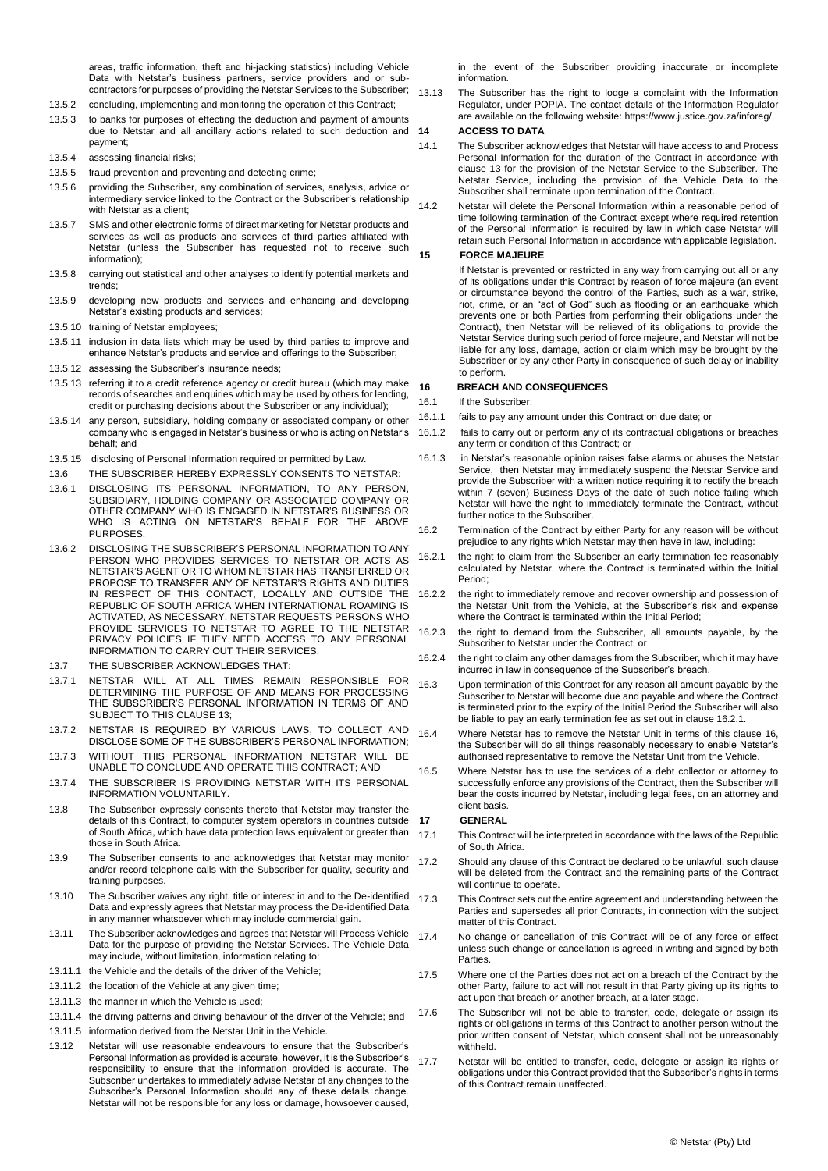areas, traffic information, theft and hi-jacking statistics) including Vehicle Data with Netstar's business partners, service providers and or subcontractors for purposes of providing the Netstar Services to the Subscriber;

- 13.5.2 concluding, implementing and monitoring the operation of this Contract;
- 13.5.3 to banks for purposes of effecting the deduction and payment of amounts due to Netstar and all ancillary actions related to such deduction and 14 payment;
- 13.5.4 assessing financial risks;
- 13.5.5 fraud prevention and preventing and detecting crime;
- 13.5.6 providing the Subscriber, any combination of services, analysis, advice or intermediary service linked to the Contract or the Subscriber's relationship with Netstar as a client
- 13.5.7 SMS and other electronic forms of direct marketing for Netstar products and services as well as products and services of third parties affiliated with Netstar (unless the Subscriber has requested not to receive such information);
- 13.5.8 carrying out statistical and other analyses to identify potential markets and trends;
- 13.5.9 developing new products and services and enhancing and developing Netstar's existing products and services;
- 13.5.10 training of Netstar employees;
- 13.5.11 inclusion in data lists which may be used by third parties to improve and enhance Netstar's products and service and offerings to the Subscriber;
- 13.5.12 assessing the Subscriber's insurance needs;
- 13.5.13 referring it to a credit reference agency or credit bureau (which may make records of searches and enquiries which may be used by others for lending, credit or purchasing decisions about the Subscriber or any individual);
- 13.5.14 any person, subsidiary, holding company or associated company or other company who is engaged in Netstar's business or who is acting on Netstar's behalf; and
- 13.5.15 disclosing of Personal Information required or permitted by Law.
- 13.6 THE SUBSCRIBER HEREBY EXPRESSLY CONSENTS TO NETSTAR:
- 13.6.1 DISCLOSING ITS PERSONAL INFORMATION, TO ANY PERSON, SUBSIDIARY, HOLDING COMPANY OR ASSOCIATED COMPANY OR OTHER COMPANY WHO IS ENGAGED IN NETSTAR'S BUSINESS OR WHO IS ACTING ON NETSTAR'S BEHALF FOR THE ABOVE PURPOSES.
- 13.6.2 DISCLOSING THE SUBSCRIBER'S PERSONAL INFORMATION TO ANY PERSON WHO PROVIDES SERVICES TO NETSTAR OR ACTS AS NETSTAR'S AGENT OR TO WHOM NETSTAR HAS TRANSFERRED OR PROPOSE TO TRANSFER ANY OF NETSTAR'S RIGHTS AND DUTIES IN RESPECT OF THIS CONTACT, LOCALLY AND OUTSIDE THE REPUBLIC OF SOUTH AFRICA WHEN INTERNATIONAL ROAMING IS ACTIVATED, AS NECESSARY. NETSTAR REQUESTS PERSONS WHO PROVIDE SERVICES TO NETSTAR TO AGREE TO THE NETSTAR PRIVACY POLICIES IF THEY NEED ACCESS TO ANY PERSONAL INFORMATION TO CARRY OUT THEIR SERVICES.
- 13.7 THE SUBSCRIBER ACKNOWLEDGES THAT:
- 13.7.1 NETSTAR WILL AT ALL TIMES REMAIN RESPONSIBLE FOR DETERMINING THE PURPOSE OF AND MEANS FOR PROCESSING THE SUBSCRIBER'S PERSONAL INFORMATION IN TERMS OF AND SUBJECT TO THIS CLAUSE 13;
- 13.7.2 NETSTAR IS REQUIRED BY VARIOUS LAWS, TO COLLECT AND DISCLOSE SOME OF THE SUBSCRIBER'S PERSONAL INFORMATION;
- 13.7.3 WITHOUT THIS PERSONAL INFORMATION NETSTAR WILL BE UNABLE TO CONCLUDE AND OPERATE THIS CONTRACT; AND
- 13.7.4 THE SUBSCRIBER IS PROVIDING NETSTAR WITH ITS PERSONAL INFORMATION VOLUNTARILY.
- 13.8 The Subscriber expressly consents thereto that Netstar may transfer the details of this Contract, to computer system operators in countries outside of South Africa, which have data protection laws equivalent or greater than those in South Africa.
- 13.9 The Subscriber consents to and acknowledges that Netstar may monitor and/or record telephone calls with the Subscriber for quality, security and training purposes.
- 13.10 The Subscriber waives any right, title or interest in and to the De-identified Data and expressly agrees that Netstar may process the De-identified Data in any manner whatsoever which may include commercial gain.
- 13.11 The Subscriber acknowledges and agrees that Netstar will Process Vehicle Data for the purpose of providing the Netstar Services. The Vehicle Data may include, without limitation, information relating to:
- 13.11.1 the Vehicle and the details of the driver of the Vehicle;
- 13.11.2 the location of the Vehicle at any given time;
- 13.11.3 the manner in which the Vehicle is used;
- 13.11.4 the driving patterns and driving behaviour of the driver of the Vehicle; and
- 13.11.5 information derived from the Netstar Unit in the Vehicle.
- 13.12 Netstar will use reasonable endeavours to ensure that the Subscriber's Personal Information as provided is accurate, however, it is the Subscriber's responsibility to ensure that the information provided is accurate. The Subscriber undertakes to immediately advise Netstar of any changes to the Subscriber's Personal Information should any of these details change. Netstar will not be responsible for any loss or damage, howsoever caused,

in the event of the Subscriber providing inaccurate or incomplete information.

13.13 The Subscriber has the right to lodge a complaint with the Information Regulator, under POPIA. The contact details of the Information Regulator are available on the following website: https://www.justice.gov.za/inforeg/.

#### **14 ACCESS TO DATA**

14.1 The Subscriber acknowledges that Netstar will have access to and Process Personal Information for the duration of the Contract in accordance with clause 13 for the provision of the Netstar Service to the Subscriber. The Netstar Service, including the provision of the Vehicle Data to the Subscriber shall terminate upon termination of the Contract.

14.2 Netstar will delete the Personal Information within a reasonable period of time following termination of the Contract except where required retention of the Personal Information is required by law in which case Netstar will retain such Personal Information in accordance with applicable legislation.

### **15 FORCE MAJEURE**

If Netstar is prevented or restricted in any way from carrying out all or any of its obligations under this Contract by reason of force majeure (an event or circumstance beyond the control of the Parties, such as a war, strike, riot, crime, or an "act of God" such as flooding or an earthquake which prevents one or both Parties from performing their obligations under the Contract), then Netstar will be relieved of its obligations to provide the Netstar Service during such period of force majeure, and Netstar will not be liable for any loss, damage, action or claim which may be brought by the Subscriber or by any other Party in consequence of such delay or inability to perform.

### **16 BREACH AND CONSEQUENCES**

- 16.1 If the Subscriber:
- 16.1.1 fails to pay any amount under this Contract on due date; or
- 16.1.2 fails to carry out or perform any of its contractual obligations or breaches any term or condition of this Contract; or
- 16.1.3 in Netstar's reasonable opinion raises false alarms or abuses the Netstar Service, then Netstar may immediately suspend the Netstar Service and provide the Subscriber with a written notice requiring it to rectify the breach within 7 (seven) Business Days of the date of such notice failing which Netstar will have the right to immediately terminate the Contract, without further notice to the Subscriber.
- 16.2 Termination of the Contract by either Party for any reason will be without prejudice to any rights which Netstar may then have in law, including:
- 16.2.1 the right to claim from the Subscriber an early termination fee reasonably calculated by Netstar, where the Contract is terminated within the Initial Period;
- 16.2.2 the right to immediately remove and recover ownership and possession of the Netstar Unit from the Vehicle, at the Subscriber's risk and expense where the Contract is terminated within the Initial Period;
- 16.2.3 the right to demand from the Subscriber, all amounts payable, by the Subscriber to Netstar under the Contract; or
- 16.2.4 the right to claim any other damages from the Subscriber, which it may have incurred in law in consequence of the Subscriber's breach.
- 16.3 Upon termination of this Contract for any reason all amount payable by the Subscriber to Netstar will become due and payable and where the Contract is terminated prior to the expiry of the Initial Period the Subscriber will also be liable to pay an early termination fee as set out in clause 16.2.1.
- 16.4 Where Netstar has to remove the Netstar Unit in terms of this clause 16, the Subscriber will do all things reasonably necessary to enable Netstar's authorised representative to remove the Netstar Unit from the Vehicle.
- 16.5 Where Netstar has to use the services of a debt collector or attorney to successfully enforce any provisions of the Contract, then the Subscriber will bear the costs incurred by Netstar, including legal fees, on an attorney and client basis.

#### **17 GENERAL**

- 17.1 This Contract will be interpreted in accordance with the laws of the Republic of South Africa.
- 17.2 Should any clause of this Contract be declared to be unlawful, such clause will be deleted from the Contract and the remaining parts of the Contract will continue to operate.
- 17.3 This Contract sets out the entire agreement and understanding between the Parties and supersedes all prior Contracts, in connection with the subject matter of this Contract.
- 17.4 No change or cancellation of this Contract will be of any force or effect unless such change or cancellation is agreed in writing and signed by both **Parties**
- 17.5 Where one of the Parties does not act on a breach of the Contract by the other Party, failure to act will not result in that Party giving up its rights to act upon that breach or another breach, at a later stage.
- 17.6 The Subscriber will not be able to transfer, cede, delegate or assign its rights or obligations in terms of this Contract to another person without the prior written consent of Netstar, which consent shall not be unreasonably withheld.
- 17.7 Netstar will be entitled to transfer, cede, delegate or assign its rights or obligations under this Contract provided that the Subscriber's rights in terms of this Contract remain unaffected.